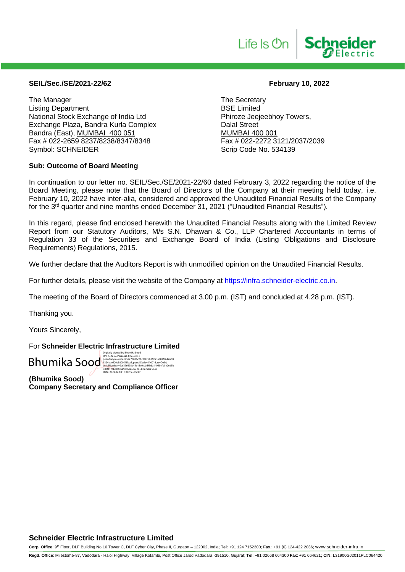# **SEIL/Sec./SE/2021-22/62 February 10, 2022**

The Manager<br>
Listing Department<br>
Listing Department<br>
The Secretary<br>
BSE Limited Listing Department<br>
National Stock Exchange of India Ltd
BSE Limited
National Stock Exchange of India Ltd
Burgue 1988 National Stock Exchange of India Ltd<br>
Exchange Plaza, Bandra Kurla Complex<br>
Dalal Street Exchange Plaza, Bandra Kurla Complex Bandra (East), <u>MUMBAI 400 051</u><br>Fax # 022-2659 8237/8238/8347/8348 Fax # 022-2272 3121/2037/2039 Fax # 022-2659 8237/8238/8347/8348 Symbol: SCHNEIDER Scrip Code No. 534139

# **Sub: Outcome of Board Meeting**

**Schneider** 

Life Is **On** 

In continuation to our letter no. SEIL/Sec./SE/2021-22/60 dated February 3, 2022 regarding the notice of the Board Meeting, please note that the Board of Directors of the Company at their meeting held today, i.e. February 10, 2022 have inter-alia, considered and approved the Unaudited Financial Results of the Company for the 3<sup>rd</sup> quarter and nine months ended December 31, 2021 ("Unaudited Financial Results").

In this regard, please find enclosed herewith the Unaudited Financial Results along with the Limited Review Report from our Statutory Auditors, M/s S.N. Dhawan & Co., LLP Chartered Accountants in terms of Regulation 33 of the Securities and Exchange Board of India (Listing Obligations and Disclosure Requirements) Regulations, 2015.

We further declare that the Auditors Report is with unmodified opinion on the Unaudited Financial Results.

For further details, please visit the website of the Company at [https://infra.schneider-electric.co.in.](https://infra.schneider-electric.co.in/)

The meeting of the Board of Directors commenced at 3.00 p.m. (IST) and concluded at 4.28 p.m. (IST).

Thanking you.

Yours Sincerely,

For **Schneider Electric Infrastructure Limited**

 ${\color{red}B\textcolor{red}{\textbf{h}(\textbf{m})}}^{\textcolor{red}{\textbf{b}(\textbf{q})}}{\color{red}{\textbf{h}(\textbf{q})}}^{\textcolor{red}{\textbf{b}(\textbf{q})}}{\color{red}{\textbf{h}(\textbf{q})}}^{\textcolor{red}{\textbf{b}(\textbf{q})}}{\color{red}{\textbf{b}(\textbf{q})}}^{\textcolor{red}{\textbf{b}(\textbf{q})}}{\color{red}{\textbf{b}(\textbf{q})}}^{\textcolor{red}{\textbf{b}(\textbf{q})}}{\color{red}{\textbf{b}(\textbf{q})}}^{\textcolor{$ 

**(Bhumika Sood) Company Secretary and Compliance Officer**

# **Schneider Electric Infrastructure Limited**

**Corp. Office**: 9th Floor, DLF Building No.10.Tower C, DLF Cyber City, Phase II, Gurgaon – 122002, India; **Tel**: +91 124 7152300; **Fax**.: +91 (0) 124-422 2036; www.schneider-infra.in

**Regd. Office**: Milestome-87, Vadodara - Halol Highway, Village Kotambi, Post Office Jarod Vadodara -391510, Gujarat; **Tel**: +91 02668 664300 **Fax**: +91 664621**; CIN:** L31900GJ2011PLC064420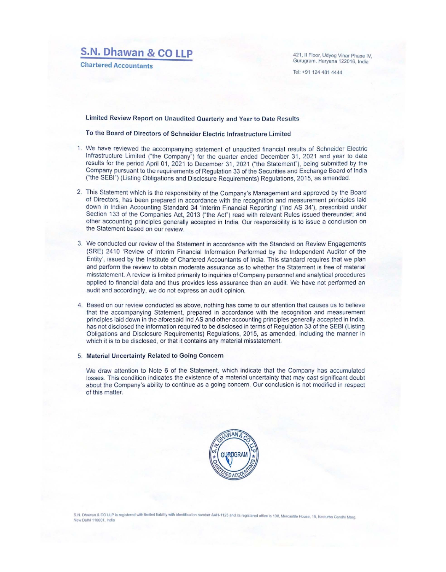# **S.N. Dhawan & CO LLP**

**Chartered Accountants** 

421, II Floor, Udyog Vihar Phase IV, Gurugram, Haryana 122016, India

Tel: +91 124 481 4444

### Limited Review Report on Unaudited Quarterly and Year to Date Results

To the Board of Directors of Schneider Electric Infrastructure Limited

- 1. We have reviewed the accompanying statement of unaudited financial results of Schneider Electric Infrastructure Limited ("the Company") for the quarter ended December 31, 2021 and year to date results for the period April 01, 2021 to December 31, 2021 ("the Statement"), being submitted by the Company pursuant to the requirements of Regulation 33 of the Securities and Exchange Board of India ("the SEBI") (Listing Obligations and Disclosure Requirements) Regulations, 2015, as amended.
- 2. This Statement which is the responsibility of the Company's Management and approved by the Board of Directors, has been prepared in accordance with the recognition and measurement principles laid down in Indian Accounting Standard 34 'Interim Financial Reporting' ('Ind AS 34'), prescribed under Section 133 of the Companies Act. 2013 ("the Act") read with relevant Rules issued thereunder; and other accounting principles generally accepted in India Our responsibility is to issue a conclusion on the Statement based on our review.
- 3. We conducted our review of the Statement in accordance with the Standard on Review Engagements (SRE) 2410 'Review of Interim Financial Information Performed by the Independent Auditor of the Entity', issued by the Institute of Chartered Accountants of India. This standard requires that we plan and perform the review to obtain moderate assurance as to whether the Statement is free of material misstatement. A review is limited primanly to inquiries of Company personnel and analytical procedures applied to financial data and thus provides less assurance than an audit. We have not performed an audit and accordingly, we do not express an audit opinion.
- 4. Based on our review conducted as above, nothing has come to our attention that causes us to believe that the accompanying Statement, prepared in accordance with the recognition and measurement principles laid down in the aforesaid lnd AS and other accounting principles generally accepted in India, has not disclosed the information required to be disclosed in terms of Regulation 33 of the SEBI (Listing Obligations and Disclosure Requirements) Regulations, 2015, as amended, including the manner in which it is to be disclosed, or that it contains any material misstatement.

### 5. Material Uncertainty Related to Going Concern

We draw attention to Note 6 of the Statement, which indicate that the Company has accumulated losses. This condition indicates the existence of a matenal uncertainty that may cast significant doubt about the Company's ability to continue as a going concern. Our conclusion is not modified in respect of this matter.



S.N. Dhawan & CO LLP is registered with limited liability with identification number AAH-1125 and its registered office is 108, Mercantile House, 15, Kasturba Gandhi Marg<br>New Delhi 110001, India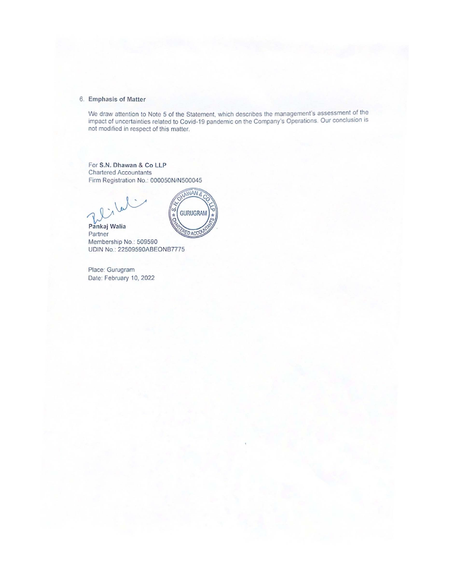### 6 Emphasis of Matter

We draw attention to Note 5 of the Statement, which descnbes the management's assessment of the impact of uncertainties related to Covid-19 pandemic on the Company's Operations. Our conclusion is not modified in respect of this matter.

For S.N. Dhawan & Co LLP Chartered Accountants Firm Registration No: 000050N/N500045

 $7.8$  W



Pankaj Walia Partner Membership No.: 509590 UDIN No.: 22509590ABEONB7775

Place: Gurugram Date: February 10, 2022